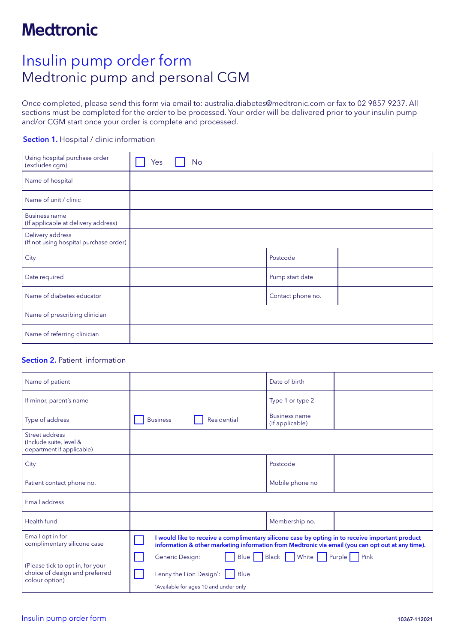## Insulin pump order form Medtronic pump and personal CGM

Once completed, please send this form via email to: australia.diabetes@medtronic.com or fax to 02 9857 9237. All sections must be completed for the order to be processed. Your order will be delivered prior to your insulin pump and/or CGM start once your order is complete and processed.

### Section 1. Hospital / clinic information

| Using hospital purchase order<br>(excludes cgm)             | Yes | No |  |                   |  |
|-------------------------------------------------------------|-----|----|--|-------------------|--|
| Name of hospital                                            |     |    |  |                   |  |
| Name of unit / clinic                                       |     |    |  |                   |  |
| <b>Business name</b><br>(If applicable at delivery address) |     |    |  |                   |  |
| Delivery address<br>(If not using hospital purchase order)  |     |    |  |                   |  |
| City                                                        |     |    |  | Postcode          |  |
| Date required                                               |     |    |  | Pump start date   |  |
| Name of diabetes educator                                   |     |    |  | Contact phone no. |  |
| Name of prescribing clinician                               |     |    |  |                   |  |
| Name of referring clinician                                 |     |    |  |                   |  |

### Section 2. Patient information

| Name of patient                                                                      |                                                                                                                                                                                                      | Date of birth                           |  |
|--------------------------------------------------------------------------------------|------------------------------------------------------------------------------------------------------------------------------------------------------------------------------------------------------|-----------------------------------------|--|
| If minor, parent's name                                                              |                                                                                                                                                                                                      | Type 1 or type 2                        |  |
| Type of address                                                                      | Residential<br><b>Business</b>                                                                                                                                                                       | <b>Business name</b><br>(If applicable) |  |
| Street address<br>(Include suite, level &<br>department if applicable)               |                                                                                                                                                                                                      |                                         |  |
| City                                                                                 |                                                                                                                                                                                                      | Postcode                                |  |
| Patient contact phone no.                                                            |                                                                                                                                                                                                      | Mobile phone no                         |  |
| Email address                                                                        |                                                                                                                                                                                                      |                                         |  |
| Health fund                                                                          |                                                                                                                                                                                                      | Membership no.                          |  |
| Email opt in for<br>complimentary silicone case                                      | I would like to receive a complimentary silicone case by opting in to receive important product<br>information & other marketing information from Medtronic via email (you can opt out at any time). |                                         |  |
| (Please tick to opt in, for your<br>choice of design and preferred<br>colour option) | Generic Design:<br>Lenny the Lion Design':     Blue<br>*Available for ages 10 and under only                                                                                                         | Blue Black White Purple Pink            |  |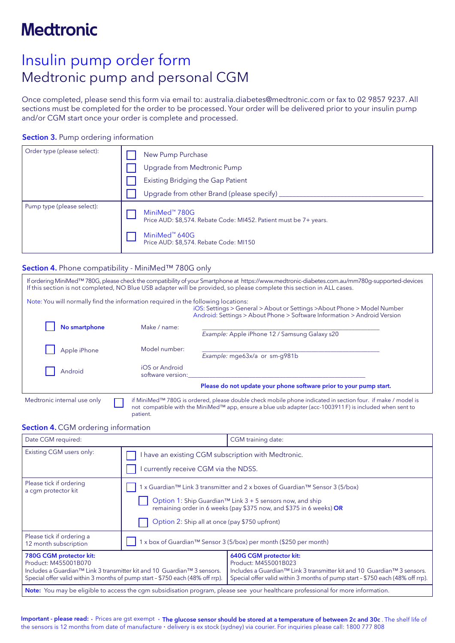## Insulin pump order form Medtronic pump and personal CGM

Once completed, please send this form via email to: australia.diabetes@medtronic.com or fax to 02 9857 9237. All sections must be completed for the order to be processed. Your order will be delivered prior to your insulin pump and/or CGM start once your order is complete and processed.

### Section 3. Pump ordering information

| Order type (please select): | New Pump Purchase                                                                                                                                                     |
|-----------------------------|-----------------------------------------------------------------------------------------------------------------------------------------------------------------------|
|                             | Upgrade from Medtronic Pump                                                                                                                                           |
|                             | Existing Bridging the Gap Patient                                                                                                                                     |
|                             | Upgrade from other Brand (please specify)                                                                                                                             |
| Pump type (please select):  | MiniMed <sup>™</sup> 780G<br>Price AUD: \$8,574. Rebate Code: MI452. Patient must be 7+ years.<br>MiniMed <sup>™</sup> 640G<br>Price AUD: \$8,574. Rebate Code: MI150 |

#### Section 4. Phone compatibility - MiniMed™ 780G only

patient.

| Note: You will normally find the information required in the following locations: |                                     | If ordering MiniMed™ 780G, please check the compatibility of your Smartphone at https://www.medtronic-diabetes.com.au/mm780q-supported-devices<br>If this section is not completed, NO Blue USB adapter will be provided, so please complete this section in ALL cases. |
|-----------------------------------------------------------------------------------|-------------------------------------|-------------------------------------------------------------------------------------------------------------------------------------------------------------------------------------------------------------------------------------------------------------------------|
|                                                                                   |                                     | iOS: Settings > General > About or Settings > About Phone > Model Number<br>Android: Settings > About Phone > Software Information > Android Version                                                                                                                    |
| No smartphone                                                                     | Make / name:                        | Example: Apple iPhone 12 / Samsung Galaxy s20                                                                                                                                                                                                                           |
| Apple iPhone                                                                      | Model number:                       | Example: mge63x/a or sm-g981b                                                                                                                                                                                                                                           |
| Android                                                                           | iOS or Android<br>software version: |                                                                                                                                                                                                                                                                         |
|                                                                                   |                                     | Please do not update your phone software prior to your pump start.                                                                                                                                                                                                      |
| Medtronic internal use only                                                       |                                     | if MiniMed™ 780G is ordered, please double check mobile phone indicated in section four. if make / model is<br>not compatible with the MiniMed <sup>™</sup> app, ensure a blue usb adapter (acc-1003911F) is included when sent to                                      |

#### Section 4. CGM ordering information

| Date CGM required:                                                                                                                                                                                                                  |                                                                                                                                                                                                                                                                    | CGM training date:                                                                                                                                                                                                                  |  |
|-------------------------------------------------------------------------------------------------------------------------------------------------------------------------------------------------------------------------------------|--------------------------------------------------------------------------------------------------------------------------------------------------------------------------------------------------------------------------------------------------------------------|-------------------------------------------------------------------------------------------------------------------------------------------------------------------------------------------------------------------------------------|--|
| Existing CGM users only:                                                                                                                                                                                                            | I have an existing CGM subscription with Medtronic.<br>currently receive CGM via the NDSS.                                                                                                                                                                         |                                                                                                                                                                                                                                     |  |
| Please tick if ordering<br>a cgm protector kit                                                                                                                                                                                      | 1 x Guardian™ Link 3 transmitter and 2 x boxes of Guardian™ Sensor 3 (5/box)<br>Option 1: Ship Guardian™ Link 3 + 5 sensors now, and ship<br>remaining order in 6 weeks (pay \$375 now, and \$375 in 6 weeks) OR<br>Option 2: Ship all at once (pay \$750 upfront) |                                                                                                                                                                                                                                     |  |
| Please tick if ordering a<br>12 month subscription                                                                                                                                                                                  | 1 x box of Guardian™ Sensor 3 (5/box) per month (\$250 per month)                                                                                                                                                                                                  |                                                                                                                                                                                                                                     |  |
| 780G CGM protector kit:<br>Product: M455001B070<br>Includes a Guardian <sup>™</sup> Link 3 transmitter kit and 10 Guardian <sup>™</sup> 3 sensors.<br>Special offer valid within 3 months of pump start - \$750 each (48% off rrp). |                                                                                                                                                                                                                                                                    | 640G CGM protector kit:<br>Product: M455001B023<br>Includes a Guardian <sup>™</sup> Link 3 transmitter kit and 10 Guardian <sup>™</sup> 3 sensors.<br>Special offer valid within 3 months of pump start - \$750 each (48% off rrp). |  |
| Note: You may be eligible to access the cgm subsidisation program, please see your healthcare professional for more information.                                                                                                    |                                                                                                                                                                                                                                                                    |                                                                                                                                                                                                                                     |  |

Important - please read: · Prices are gst exempt · The glucose sensor should be stored at a temperature of between 2c and 30c. The shelf life of the sensors is 12 months from date of manufacture · delivery is ex stock (sydney) via courier. For inquiries please call: 1800 777 808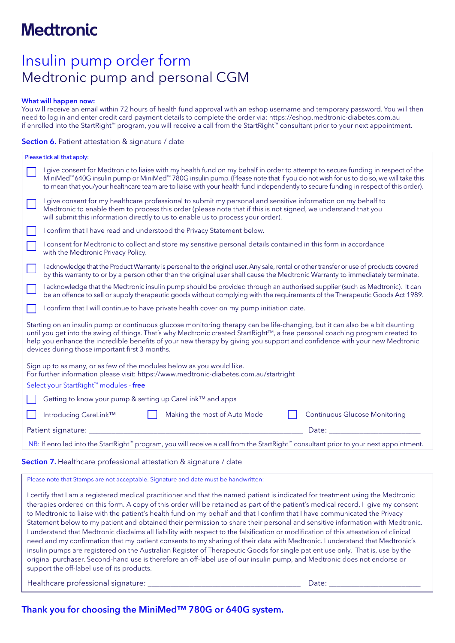### Insulin pump order form Medtronic pump and personal CGM

#### What will happen now:

You will receive an email within 72 hours of health fund approval with an eshop username and temporary password. You will then need to log in and enter credit card payment details to complete the order via: https://eshop.medtronic-diabetes.com.au if enrolled into the StartRight™ program, you will receive a call from the StartRight™ consultant prior to your next appointment.

### Section 6. Patient attestation & signature / date

| Please tick all that apply:                                                                                                                                                                                                                                                                                                                                                                                                                  |  |  |  |  |
|----------------------------------------------------------------------------------------------------------------------------------------------------------------------------------------------------------------------------------------------------------------------------------------------------------------------------------------------------------------------------------------------------------------------------------------------|--|--|--|--|
| give consent for Medtronic to liaise with my health fund on my behalf in order to attempt to secure funding in respect of the<br>MiniMed™ 640G insulin pump or MiniMed™ 780G insulin pump. (Please note that if you do not wish for us to do so, we will take this<br>to mean that you/your healthcare team are to liaise with your health fund independently to secure funding in respect of this order).                                   |  |  |  |  |
| I give consent for my healthcare professional to submit my personal and sensitive information on my behalf to<br>Medtronic to enable them to process this order (please note that if this is not signed, we understand that you<br>will submit this information directly to us to enable us to process your order).                                                                                                                          |  |  |  |  |
| I confirm that I have read and understood the Privacy Statement below.                                                                                                                                                                                                                                                                                                                                                                       |  |  |  |  |
| I consent for Medtronic to collect and store my sensitive personal details contained in this form in accordance<br>with the Medtronic Privacy Policy.                                                                                                                                                                                                                                                                                        |  |  |  |  |
| I acknowledge that the Product Warranty is personal to the original user. Any sale, rental or other transfer or use of products covered<br>by this warranty to or by a person other than the original user shall cause the Medtronic Warranty to immediately terminate.                                                                                                                                                                      |  |  |  |  |
| I acknowledge that the Medtronic insulin pump should be provided through an authorised supplier (such as Medtronic). It can<br>be an offence to sell or supply therapeutic goods without complying with the requirements of the Therapeutic Goods Act 1989.                                                                                                                                                                                  |  |  |  |  |
| I confirm that I will continue to have private health cover on my pump initiation date.                                                                                                                                                                                                                                                                                                                                                      |  |  |  |  |
| Starting on an insulin pump or continuous glucose monitoring therapy can be life-changing, but it can also be a bit daunting<br>until you get into the swing of things. That's why Medtronic created StartRight™, a free personal coaching program created to<br>help you enhance the incredible benefits of your new therapy by giving you support and confidence with your new Medtronic<br>devices during those important first 3 months. |  |  |  |  |
| Sign up to as many, or as few of the modules below as you would like.<br>For further information please visit: https://www.medtronic-diabetes.com.au/startright<br>Select your StartRight™ modules - free                                                                                                                                                                                                                                    |  |  |  |  |
|                                                                                                                                                                                                                                                                                                                                                                                                                                              |  |  |  |  |
| Getting to know your pump & setting up CareLink™ and apps                                                                                                                                                                                                                                                                                                                                                                                    |  |  |  |  |
| <b>Continuous Glucose Monitoring</b><br>Introducing CareLink™<br>Making the most of Auto Mode                                                                                                                                                                                                                                                                                                                                                |  |  |  |  |
| Patient signature:<br>Date:                                                                                                                                                                                                                                                                                                                                                                                                                  |  |  |  |  |
| NB: If enrolled into the StartRight™ program, you will receive a call from the StartRight™ consultant prior to your next appointment.                                                                                                                                                                                                                                                                                                        |  |  |  |  |
|                                                                                                                                                                                                                                                                                                                                                                                                                                              |  |  |  |  |

Section 7. Healthcare professional attestation & signature / date

Please note that Stamps are not acceptable. Signature and date must be handwritten:

I certify that I am a registered medical practitioner and that the named patient is indicated for treatment using the Medtronic therapies ordered on this form. A copy of this order will be retained as part of the patient's medical record. I give my consent to Medtronic to liaise with the patient's health fund on my behalf and that I confirm that I have communicated the Privacy Statement below to my patient and obtained their permission to share their personal and sensitive information with Medtronic. I understand that Medtronic disclaims all liability with respect to the falsification or modification of this attestation of clinical need and my confirmation that my patient consents to my sharing of their data with Medtronic. I understand that Medtronic's insulin pumps are registered on the Australian Register of Therapeutic Goods for single patient use only. That is, use by the original purchaser. Second-hand use is therefore an off-label use of our insulin pump, and Medtronic does not endorse or support the off-label use of its products.

Healthcare professional signature: \_\_\_\_\_\_\_\_\_\_\_\_\_\_\_\_\_\_\_\_\_\_\_\_\_\_\_\_\_\_\_\_\_\_\_\_\_\_\_\_ Date: \_\_\_\_\_\_\_\_\_\_\_\_\_\_\_\_\_\_\_\_\_\_\_\_

Thank you for choosing the MiniMed™ 780G or 640G system.